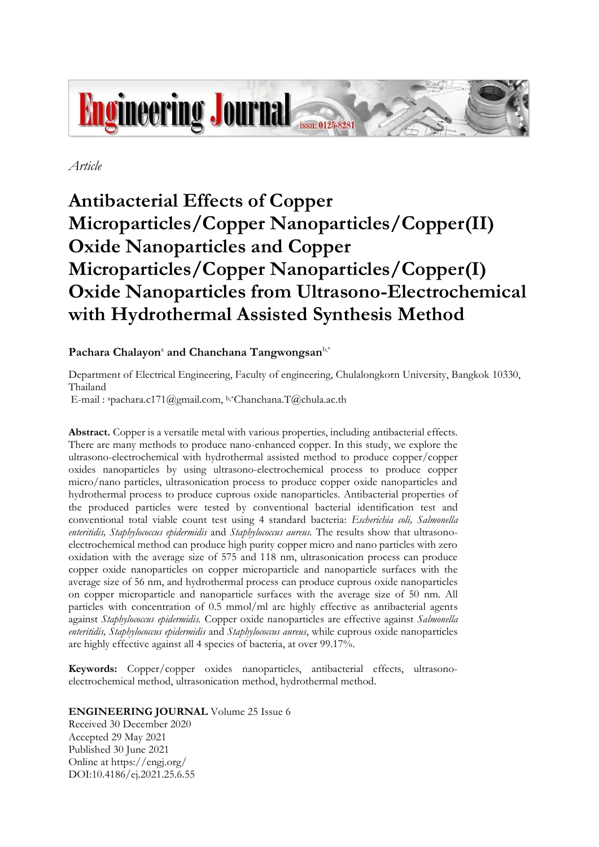

*Article*

# **Antibacterial Effects of Copper Microparticles/Copper Nanoparticles/Copper(II) Oxide Nanoparticles and Copper Microparticles/Copper Nanoparticles/Copper(I) Oxide Nanoparticles from Ultrasono-Electrochemical with Hydrothermal Assisted Synthesis Method**

# $\mathbf{Pachara}$  Chalayon<sup>a</sup> and Chanchana Tangwongsan<sup>b,\*</sup>

Department of Electrical Engineering, Faculty of engineering, Chulalongkorn University, Bangkok 10330, Thailand

E-mail : ªpachara.c171@gmail.com, b,\*Chanchana.T@chula.ac.th

**Abstract.** Copper is a versatile metal with various properties, including antibacterial effects. There are many methods to produce nano-enhanced copper. In this study, we explore the ultrasono-electrochemical with hydrothermal assisted method to produce copper/copper oxides nanoparticles by using ultrasono-electrochemical process to produce copper micro/nano particles, ultrasonication process to produce copper oxide nanoparticles and hydrothermal process to produce cuprous oxide nanoparticles. Antibacterial properties of the produced particles were tested by conventional bacterial identification test and conventional total viable count test using 4 standard bacteria: *Escherichia coli, Salmonella enteritidis, Staphylococcus epidermidis* and *Staphylococcus aureus.* The results show that ultrasonoelectrochemical method can produce high purity copper micro and nano particles with zero oxidation with the average size of 575 and 118 nm, ultrasonication process can produce copper oxide nanoparticles on copper microparticle and nanoparticle surfaces with the average size of 56 nm, and hydrothermal process can produce cuprous oxide nanoparticles on copper microparticle and nanoparticle surfaces with the average size of 50 nm. All particles with concentration of 0.5 mmol/ml are highly effective as antibacterial agents against *Staphylococcus epidermidis.* Copper oxide nanoparticles are effective against *Salmonella enteritidis, Staphylococcus epidermidis* and *Staphylococcus aureus*, while cuprous oxide nanoparticles are highly effective against all 4 species of bacteria, at over 99.17%.

**Keywords:** Copper/copper oxides nanoparticles, antibacterial effects, ultrasonoelectrochemical method, ultrasonication method, hydrothermal method.

**ENGINEERING JOURNAL** Volume 25 Issue 6

Received 30 December 2020 Accepted 29 May 2021 Published 30 June 2021 Online at https://engj.org/ DOI:10.4186/ej.2021.25.6.55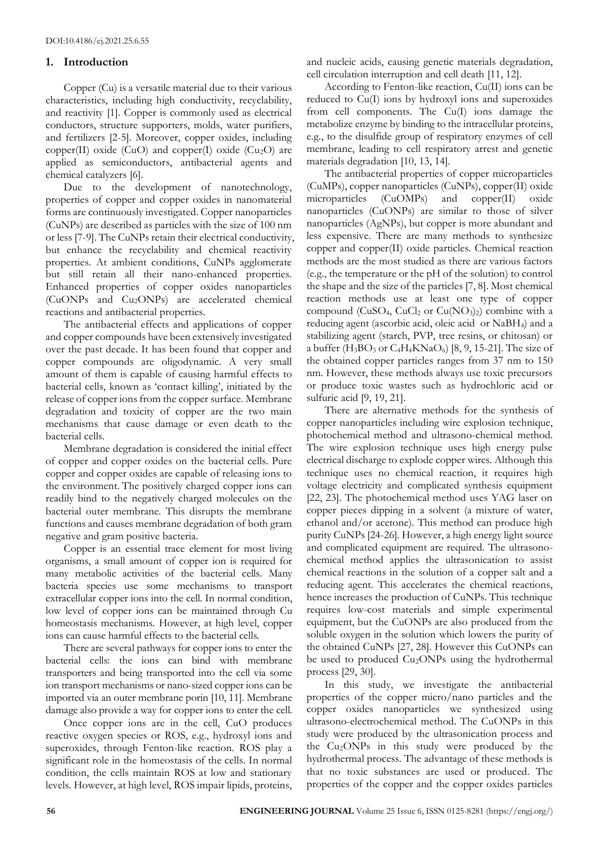# **1. Introduction**

Copper (Cu) is a versatile material due to their various characteristics, including high conductivity, recyclability, and reactivity [1]. Copper is commonly used as electrical conductors, structure supporters, molds, water purifiers, and fertilizers [2-5]. Moreover, copper oxides, including copper(II) oxide (CuO) and copper(I) oxide (Cu<sub>2</sub>O) are applied as semiconductors, antibacterial agents and chemical catalyzers [6].

Due to the development of nanotechnology, properties of copper and copper oxides in nanomaterial forms are continuously investigated. Copper nanoparticles (CuNPs) are described as particles with the size of 100 nm or less [7-9]. The CuNPs retain their electrical conductivity, but enhance the recyclability and chemical reactivity properties. At ambient conditions, CuNPs agglomerate but still retain all their nano-enhanced properties. Enhanced properties of copper oxides nanoparticles (CuONPs and Cu2ONPs) are accelerated chemical reactions and antibacterial properties.

The antibacterial effects and applications of copper and copper compounds have been extensively investigated over the past decade. It has been found that copper and copper compounds are oligodynamic. A very small amount of them is capable of causing harmful effects to bacterial cells, known as 'contact killing', initiated by the release of copper ions from the copper surface. Membrane degradation and toxicity of copper are the two main mechanisms that cause damage or even death to the bacterial cells.

Membrane degradation is considered the initial effect of copper and copper oxides on the bacterial cells. Pure copper and copper oxides are capable of releasing ions to the environment. The positively charged copper ions can readily bind to the negatively charged molecules on the bacterial outer membrane. This disrupts the membrane functions and causes membrane degradation of both gram negative and gram positive bacteria.

Copper is an essential trace element for most living organisms, a small amount of copper ion is required for many metabolic activities of the bacterial cells. Many bacteria species use some mechanisms to transport extracellular copper ions into the cell. In normal condition, low level of copper ions can be maintained through Cu homeostasis mechanisms. However, at high level, copper ions can cause harmful effects to the bacterial cells.

There are several pathways for copper ions to enter the bacterial cells: the ions can bind with membrane transporters and being transported into the cell via some ion transport mechanisms or nano-sized copper ions can be imported via an outer membrane porin [10, 11]. Membrane damage also provide a way for copper ions to enter the cell.

Once copper ions are in the cell, CuO produces reactive oxygen species or ROS, e.g., hydroxyl ions and superoxides, through Fenton-like reaction. ROS play a significant role in the homeostasis of the cells. In normal condition, the cells maintain ROS at low and stationary levels. However, at high level, ROS impair lipids, proteins, and nucleic acids, causing genetic materials degradation, cell circulation interruption and cell death [11, 12].

According to Fenton-like reaction, Cu(II) ions can be reduced to Cu(I) ions by hydroxyl ions and superoxides from cell components. The Cu(I) ions damage the metabolize enzyme by binding to the intracellular proteins, e.g., to the disulfide group of respiratory enzymes of cell membrane, leading to cell respiratory arrest and genetic materials degradation [10, 13, 14].

The antibacterial properties of copper microparticles (CuMPs), copper nanoparticles (CuNPs), copper(II) oxide microparticles (CuOMPs) and copper(II) oxide nanoparticles (CuONPs) are similar to those of silver nanoparticles (AgNPs), but copper is more abundant and less expensive. There are many methods to synthesize copper and copper(II) oxide particles. Chemical reaction methods are the most studied as there are various factors (e.g., the temperature or the pH of the solution) to control the shape and the size of the particles [7, 8]. Most chemical reaction methods use at least one type of copper compound (CuSO<sub>4</sub>, CuCl<sub>2</sub> or Cu(NO<sub>3</sub>)<sub>2</sub>) combine with a reducing agent (ascorbic acid, oleic acid or NaBH4) and a stabilizing agent (starch, PVP, tree resins, or chitosan) or a buffer  $(H_3BO_3$  or  $C_4H_4KNaO_6)$  [8, 9, 15-21]. The size of the obtained copper particles ranges from 37 nm to 150 nm. However, these methods always use toxic precursors or produce toxic wastes such as hydrochloric acid or sulfuric acid [9, 19, 21].

There are alternative methods for the synthesis of copper nanoparticles including wire explosion technique, photochemical method and ultrasono-chemical method. The wire explosion technique uses high energy pulse electrical discharge to explode copper wires. Although this technique uses no chemical reaction, it requires high voltage electricity and complicated synthesis equipment [22, 23]. The photochemical method uses YAG laser on copper pieces dipping in a solvent (a mixture of water, ethanol and/or acetone). This method can produce high purity CuNPs [24-26]. However, a high energy light source and complicated equipment are required. The ultrasonochemical method applies the ultrasonication to assist chemical reactions in the solution of a copper salt and a reducing agent. This accelerates the chemical reactions, hence increases the production of CuNPs. This technique requires low-cost materials and simple experimental equipment, but the CuONPs are also produced from the soluble oxygen in the solution which lowers the purity of the obtained CuNPs [27, 28]. However this CuONPs can be used to produced Cu<sub>2</sub>ONPs using the hydrothermal process [29, 30].

In this study, we investigate the antibacterial properties of the copper micro/nano particles and the copper oxides nanoparticles we synthesized using ultrasono-electrochemical method. The CuONPs in this study were produced by the ultrasonication process and the Cu2ONPs in this study were produced by the hydrothermal process. The advantage of these methods is that no toxic substances are used or produced. The properties of the copper and the copper oxides particles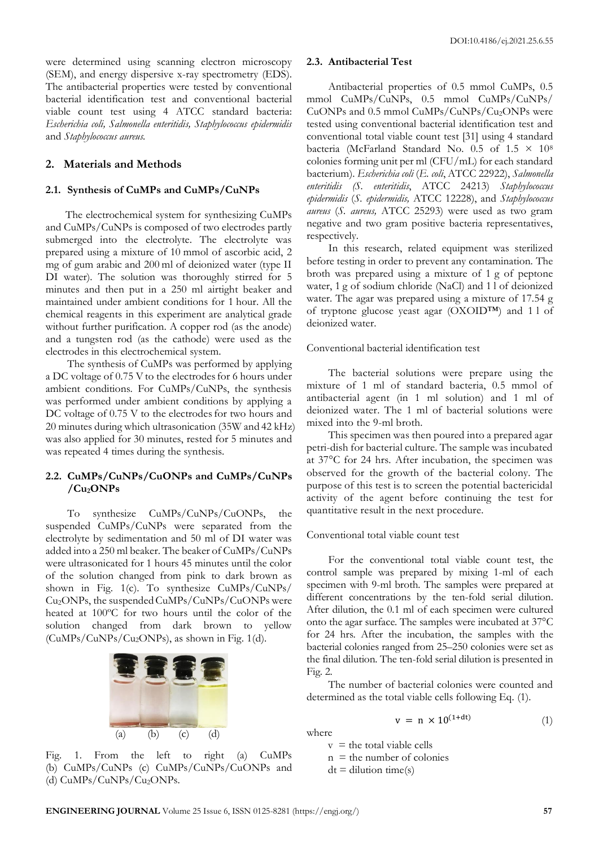were determined using scanning electron microscopy (SEM), and energy dispersive x-ray spectrometry (EDS). The antibacterial properties were tested by conventional bacterial identification test and conventional bacterial viable count test using 4 ATCC standard bacteria: *Escherichia coli, Salmonella enteritidis, Staphylococcus epidermidis*  and *Staphylococcus aureus.*

# **2. Materials and Methods**

#### **2.1. Synthesis of CuMPs and CuMPs/CuNPs**

The electrochemical system for synthesizing CuMPs and CuMPs/CuNPs is composed of two electrodes partly submerged into the electrolyte. The electrolyte was prepared using a mixture of 10 mmol of ascorbic acid, 2 mg of gum arabic and 200 ml of deionized water (type II DI water). The solution was thoroughly stirred for 5 minutes and then put in a 250 ml airtight beaker and maintained under ambient conditions for 1 hour. All the chemical reagents in this experiment are analytical grade without further purification. A copper rod (as the anode) and a tungsten rod (as the cathode) were used as the electrodes in this electrochemical system.

The synthesis of CuMPs was performed by applying a DC voltage of 0.75 V to the electrodes for 6 hours under ambient conditions. For CuMPs/CuNPs, the synthesis was performed under ambient conditions by applying a DC voltage of 0.75 V to the electrodes for two hours and 20 minutes during which ultrasonication (35W and 42 kHz) was also applied for 30 minutes, rested for 5 minutes and was repeated 4 times during the synthesis.

# **2.2. CuMPs/CuNPs/CuONPs and CuMPs/CuNPs /Cu2ONPs**

To synthesize CuMPs/CuNPs/CuONPs, the suspended CuMPs/CuNPs were separated from the electrolyte by sedimentation and 50 ml of DI water was added into a 250 ml beaker. The beaker of CuMPs/CuNPs were ultrasonicated for 1 hours 45 minutes until the color of the solution changed from pink to dark brown as shown in Fig. 1(c). To synthesize CuMPs/CuNPs/ Cu<sub>2</sub>ONPs, the suspended CuMPs/CuNPs/CuONPs were heated at 100ºC for two hours until the color of the solution changed from dark brown to yellow (CuMPs/CuNPs/Cu2ONPs), as shown in Fig. 1(d).



Fig. 1. From the left to right (a) CuMPs (b) CuMPs/CuNPs (c) CuMPs/CuNPs/CuONPs and (d) CuMPs/CuNPs/Cu2ONPs.

#### **2.3. Antibacterial Test**

Antibacterial properties of 0.5 mmol CuMPs, 0.5 mmol CuMPs/CuNPs, 0.5 mmol CuMPs/CuNPs/ CuONPs and 0.5 mmol CuMPs/CuNPs/Cu2ONPs were tested using conventional bacterial identification test and conventional total viable count test [31] using 4 standard bacteria (McFarland Standard No. 0.5 of  $1.5 \times 10^8$ colonies forming unit per ml (CFU/mL) for each standard bacterium). *Escherichia coli* (*E. coli*, ATCC 22922), *Salmonella enteritidis (S. enteritidis*, ATCC 24213) *Staphylococcus epidermidis* (*S. epidermidis,* ATCC 12228), and *Staphylococcus aureus* (*S. aureus,* ATCC 25293) were used as two gram negative and two gram positive bacteria representatives, respectively.

In this research, related equipment was sterilized before testing in order to prevent any contamination. The broth was prepared using a mixture of 1 g of peptone water, 1 g of sodium chloride (NaCl) and 1 l of deionized water. The agar was prepared using a mixture of 17.54 g of tryptone glucose yeast agar (OXOID™) and 1 l of deionized water.

# Conventional bacterial identification test

The bacterial solutions were prepare using the mixture of 1 ml of standard bacteria, 0.5 mmol of antibacterial agent (in 1 ml solution) and 1 ml of deionized water. The 1 ml of bacterial solutions were mixed into the 9-ml broth.

This specimen was then poured into a prepared agar petri-dish for bacterial culture. The sample was incubated at 37°C for 24 hrs. After incubation, the specimen was observed for the growth of the bacterial colony. The purpose of this test is to screen the potential bactericidal activity of the agent before continuing the test for quantitative result in the next procedure.

#### Conventional total viable count test

For the conventional total viable count test, the control sample was prepared by mixing 1-ml of each specimen with 9-ml broth. The samples were prepared at different concentrations by the ten-fold serial dilution. After dilution, the 0.1 ml of each specimen were cultured onto the agar surface. The samples were incubated at 37°C for 24 hrs. After the incubation, the samples with the bacterial colonies ranged from 25–250 colonies were set as the final dilution. The ten-fold serial dilution is presented in Fig. 2.

The number of bacterial colonies were counted and determined as the total viable cells following Eq. (1).

$$
v = n \times 10^{(1+dt)} \tag{1}
$$

where

 $v =$  the total viable cells  $n =$  the number of colonies

 $dt = dilution time(s)$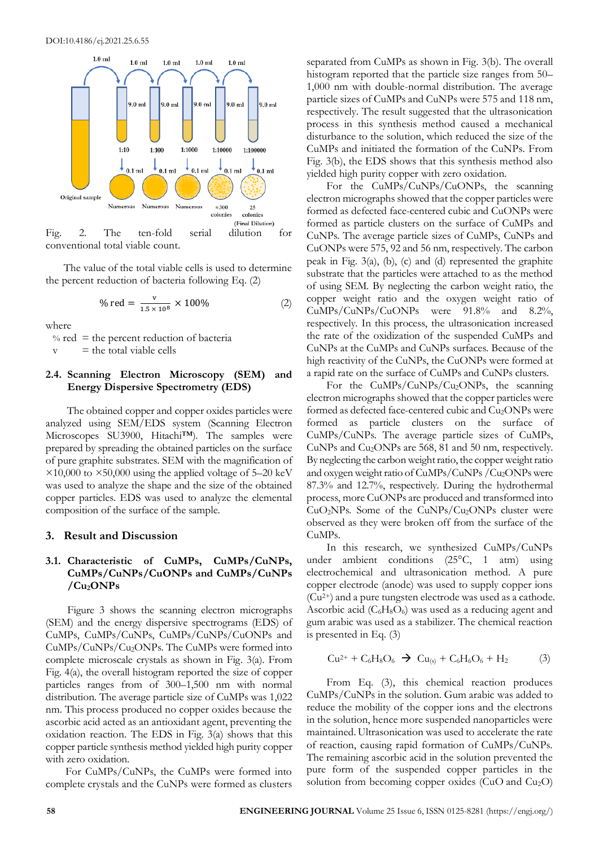

conventional total viable count.

The value of the total viable cells is used to determine the percent reduction of bacteria following Eq. (2)

% red = 
$$
\frac{v}{1.5 \times 10^8} \times 100\%
$$
 (2)

where

 $%$  red = the percent reduction of bacteria

 $v =$  the total viable cells

#### **2.4. Scanning Electron Microscopy (SEM) and Energy Dispersive Spectrometry (EDS)**

The obtained copper and copper oxides particles were analyzed using SEM/EDS system (Scanning Electron Microscopes SU3900, Hitachi™). The samples were prepared by spreading the obtained particles on the surface of pure graphite substrates. SEM with the magnification of  $\times$ 10,000 to  $\times$ 50,000 using the applied voltage of 5–20 keV was used to analyze the shape and the size of the obtained copper particles. EDS was used to analyze the elemental composition of the surface of the sample.

#### **3. Result and Discussion**

# **3.1. Characteristic of CuMPs, CuMPs/CuNPs, CuMPs/CuNPs/CuONPs and CuMPs/CuNPs /Cu2ONPs**

Figure 3 shows the scanning electron micrographs (SEM) and the energy dispersive spectrograms (EDS) of CuMPs, CuMPs/CuNPs, CuMPs/CuNPs/CuONPs and CuMPs/CuNPs/Cu2ONPs. The CuMPs were formed into complete microscale crystals as shown in Fig. 3(a). From Fig. 4(a), the overall histogram reported the size of copper particles ranges from of 300–1,500 nm with normal distribution. The average particle size of CuMPs was 1,022 nm. This process produced no copper oxides because the ascorbic acid acted as an antioxidant agent, preventing the oxidation reaction. The EDS in Fig. 3(a) shows that this copper particle synthesis method yielded high purity copper with zero oxidation.

For CuMPs/CuNPs, the CuMPs were formed into complete crystals and the CuNPs were formed as clusters

separated from CuMPs as shown in Fig. 3(b). The overall histogram reported that the particle size ranges from 50– 1,000 nm with double-normal distribution. The average particle sizes of CuMPs and CuNPs were 575 and 118 nm, respectively. The result suggested that the ultrasonication process in this synthesis method caused a mechanical disturbance to the solution, which reduced the size of the CuMPs and initiated the formation of the CuNPs. From Fig. 3(b), the EDS shows that this synthesis method also yielded high purity copper with zero oxidation.

For the CuMPs/CuNPs/CuONPs, the scanning electron micrographs showed that the copper particles were formed as defected face-centered cubic and CuONPs were formed as particle clusters on the surface of CuMPs and CuNPs. The average particle sizes of CuMPs, CuNPs and CuONPs were 575, 92 and 56 nm, respectively. The carbon peak in Fig. 3(a), (b), (c) and (d) represented the graphite substrate that the particles were attached to as the method of using SEM. By neglecting the carbon weight ratio, the copper weight ratio and the oxygen weight ratio of CuMPs/CuNPs/CuONPs were 91.8% and 8.2%, respectively. In this process, the ultrasonication increased the rate of the oxidization of the suspended CuMPs and CuNPs at the CuMPs and CuNPs surfaces. Because of the high reactivity of the CuNPs, the CuONPs were formed at a rapid rate on the surface of CuMPs and CuNPs clusters.

For the CuMPs/CuNPs/Cu<sub>2</sub>ONPs, the scanning electron micrographs showed that the copper particles were formed as defected face-centered cubic and Cu<sub>2</sub>ONPs were formed as particle clusters on the surface of CuMPs/CuNPs. The average particle sizes of CuMPs, CuNPs and Cu2ONPs are 568, 81 and 50 nm, respectively. By neglecting the carbon weight ratio, the copper weight ratio and oxygen weight ratio of CuMPs/CuNPs /Cu2ONPs were 87.3% and 12.7%, respectively. During the hydrothermal process, more CuONPs are produced and transformed into  $CuO<sub>2</sub>NPs$ . Some of the  $CuNPs/Cu<sub>2</sub>ONPs$  cluster were observed as they were broken off from the surface of the CuMPs.

In this research, we synthesized CuMPs/CuNPs under ambient conditions (25°C, 1 atm) using electrochemical and ultrasonication method. A pure copper electrode (anode) was used to supply copper ions (Cu2+) and a pure tungsten electrode was used as a cathode. Ascorbic acid  $(C_6H_8O_6)$  was used as a reducing agent and gum arabic was used as a stabilizer. The chemical reaction is presented in Eq. (3)

$$
Cu^{2+} + C_6H_8O_6 \rightarrow Cu_{(s)} + C_6H_6O_6 + H_2
$$
 (3)

From Eq. (3), this chemical reaction produces CuMPs/CuNPs in the solution. Gum arabic was added to reduce the mobility of the copper ions and the electrons in the solution, hence more suspended nanoparticles were maintained. Ultrasonication was used to accelerate the rate of reaction, causing rapid formation of CuMPs/CuNPs. The remaining ascorbic acid in the solution prevented the pure form of the suspended copper particles in the solution from becoming copper oxides (CuO and Cu<sub>2</sub>O)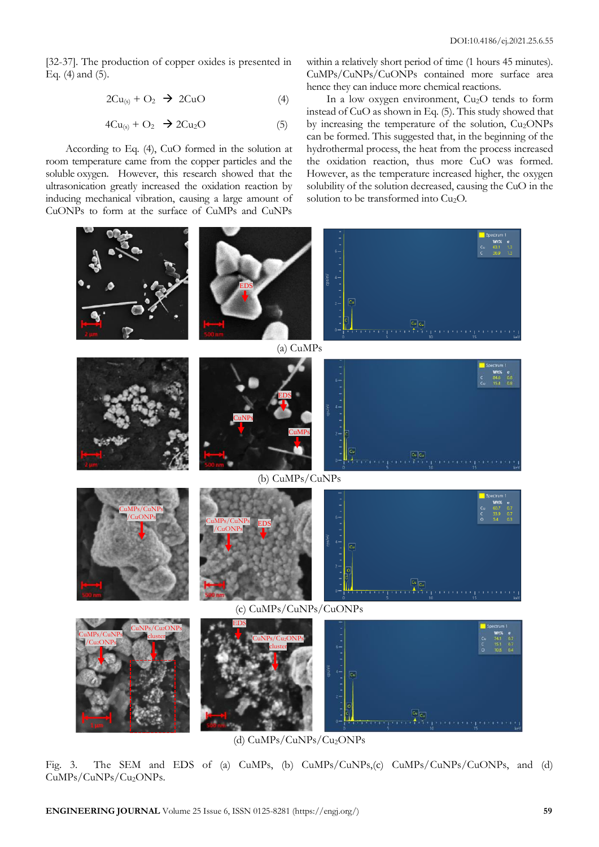[32-37]. The production of copper oxides is presented in Eq. (4) and (5).

$$
2Cu_{(s)} + O_2 \rightarrow 2CuO \tag{4}
$$

$$
4Cu_{(s)} + O_2 \rightarrow 2Cu_2O \tag{5}
$$

According to Eq. (4), CuO formed in the solution at room temperature came from the copper particles and the soluble oxygen. However, this research showed that the ultrasonication greatly increased the oxidation reaction by inducing mechanical vibration, causing a large amount of CuONPs to form at the surface of CuMPs and CuNPs

within a relatively short period of time (1 hours 45 minutes). CuMPs/CuNPs/CuONPs contained more surface area hence they can induce more chemical reactions.

In a low oxygen environment, Cu<sub>2</sub>O tends to form instead of CuO as shown in Eq. (5). This study showed that by increasing the temperature of the solution,  $Cu<sub>2</sub>ONPs$ can be formed. This suggested that, in the beginning of the hydrothermal process, the heat from the process increased the oxidation reaction, thus more CuO was formed. However, as the temperature increased higher, the oxygen solubility of the solution decreased, causing the CuO in the solution to be transformed into Cu<sub>2</sub>O.



(d) CuMPs/CuNPs/Cu2ONPs

Fig. 3. The SEM and EDS of (a) CuMPs, (b) CuMPs/CuNPs,(c) CuMPs/CuNPs/CuONPs, and (d) CuMPs/CuNPs/Cu2ONPs.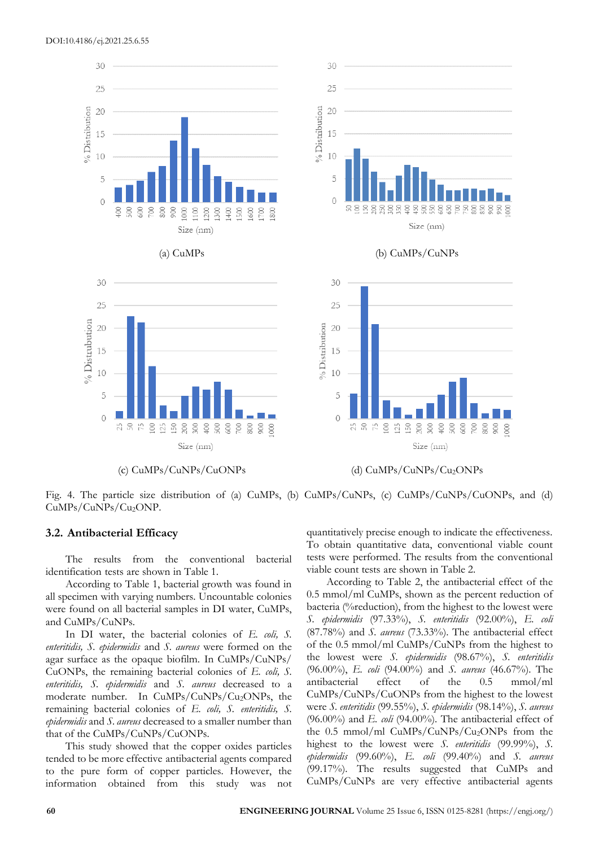

Fig. 4. The particle size distribution of (a) CuMPs, (b) CuMPs/CuNPs, (c) CuMPs/CuNPs/CuONPs, and (d)

#### **3.2. Antibacterial Efficacy**

CuMPs/CuNPs/Cu<sub>2</sub>ONP.

The results from the conventional bacterial identification tests are shown in Table 1.

According to Table 1, bacterial growth was found in all specimen with varying numbers. Uncountable colonies were found on all bacterial samples in DI water, CuMPs, and CuMPs/CuNPs.

In DI water, the bacterial colonies of *E. coli, S. enteritidis, S. epidermidis* and *S. aureus* were formed on the agar surface as the opaque biofilm. In CuMPs/CuNPs/ CuONPs, the remaining bacterial colonies of *E. coli, S. enteritidis, S. epidermidis* and *S. aureus* decreased to a moderate number. In CuMPs/CuNPs/Cu2ONPs, the remaining bacterial colonies of *E. coli, S. enteritidis, S. epidermidis* and *S. aureus* decreased to a smaller number than that of the CuMPs/CuNPs/CuONPs.

This study showed that the copper oxides particles tended to be more effective antibacterial agents compared to the pure form of copper particles. However, the information obtained from this study was not

quantitatively precise enough to indicate the effectiveness. To obtain quantitative data, conventional viable count tests were performed. The results from the conventional viable count tests are shown in Table 2.

According to Table 2, the antibacterial effect of the 0.5 mmol/ml CuMPs, shown as the percent reduction of bacteria (%reduction), from the highest to the lowest were *S. epidermidis* (97.33%), *S. enteritidis* (92.00%), *E. coli* (87.78%) and *S. aureus* (73.33%). The antibacterial effect of the 0.5 mmol/ml CuMPs/CuNPs from the highest to the lowest were *S. epidermidis* (98.67%), *S. enteritidis*  (96.00%), *E. coli* (94.00%) and *S. aureus* (46.67%). The antibacterial effect of the 0.5 mmol/ml CuMPs/CuNPs/CuONPs from the highest to the lowest were *S. enteritidis* (99.55%), *S. epidermidis* (98.14%), *S. aureus*  (96.00%) and *E. coli* (94.00%). The antibacterial effect of the 0.5 mmol/ml CuMPs/CuNPs/Cu2ONPs from the highest to the lowest were *S. enteritidis* (99.99%), *S. epidermidis* (99.60%), *E. coli* (99.40%) and *S. aureus*  (99.17%). The results suggested that CuMPs and CuMPs/CuNPs are very effective antibacterial agents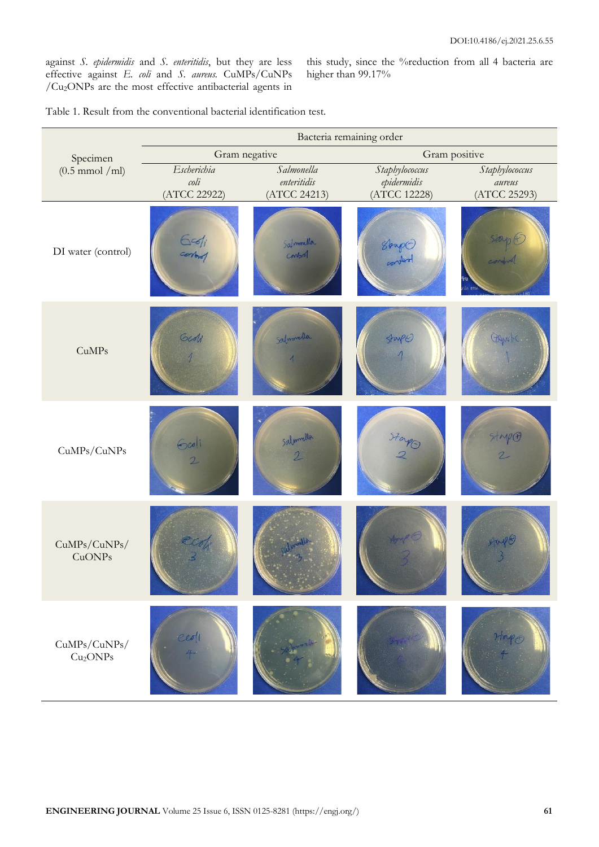against *S. epidermidis* and *S. enteritidis*, but they are less effective against *E. coli* and *S. aureus.* CuMPs/CuNPs /Cu2ONPs are the most effective antibacterial agents in

this study, since the %reduction from all 4 bacteria are higher than 99.17%

Table 1. Result from the conventional bacterial identification test.

|                                                          | Bacteria remaining order      |                                          |                             |                                  |
|----------------------------------------------------------|-------------------------------|------------------------------------------|-----------------------------|----------------------------------|
| Specimen                                                 | Gram negative                 |                                          | Gram positive               |                                  |
| $(0.5 \text{ mmol } / \text{ml})$                        | Escherichia                   | Salmonella                               | Staphylococcus              | Staphylococcus                   |
|                                                          | $\text{coli}$<br>(ATCC 22922) | enteritidis<br>(ATCC 24213)              | epidermidis<br>(ATCC 12228) | aureus<br>(ATCC 25293)           |
| DI water (control)                                       | $\epsilon$ edi                | Salmonella<br>conford                    | Stap 0                      | stap E<br>combiol<br>FI<br>da nn |
| <b>CuMPs</b>                                             | Godi                          | Salmmeller                               | <b>Starp()</b>              | Oguti.                           |
| CuMPs/CuNPs                                              | 6001<br>$\overline{2}$        | Salmuella<br>$\mathcal{D}_{\mathcal{L}}$ | $\frac{37240}{2}$           | Stape                            |
| $\mathrm{CuMPs}/\mathrm{CuNPs}/$<br>CuONPs               |                               |                                          | And G                       | $\text{Exp}(3)$                  |
| $\mathrm{CuMPs}/\mathrm{CuNPs}/$<br>Cu <sub>2</sub> ONPs |                               |                                          |                             |                                  |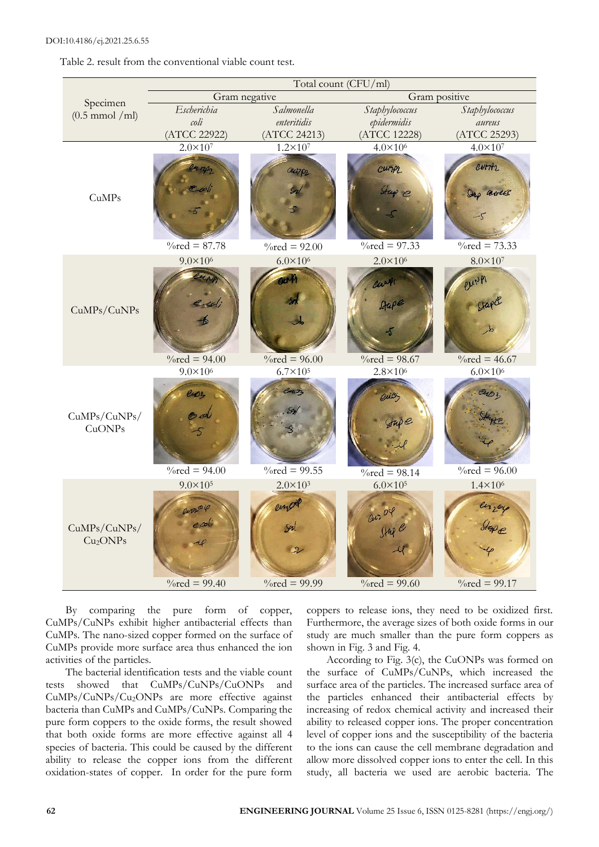Table 2. result from the conventional viable count test.



By comparing the pure form of copper, CuMPs/CuNPs exhibit higher antibacterial effects than CuMPs. The nano-sized copper formed on the surface of CuMPs provide more surface area thus enhanced the ion activities of the particles.

The bacterial identification tests and the viable count tests showed that CuMPs/CuNPs/CuONPs and CuMPs/CuNPs/Cu2ONPs are more effective against bacteria than CuMPs and CuMPs/CuNPs. Comparing the pure form coppers to the oxide forms, the result showed that both oxide forms are more effective against all 4 species of bacteria. This could be caused by the different ability to release the copper ions from the different oxidation-states of copper. In order for the pure form

coppers to release ions, they need to be oxidized first. Furthermore, the average sizes of both oxide forms in our study are much smaller than the pure form coppers as shown in Fig. 3 and Fig. 4.

According to Fig. 3(c), the CuONPs was formed on the surface of CuMPs/CuNPs, which increased the surface area of the particles. The increased surface area of the particles enhanced their antibacterial effects by increasing of redox chemical activity and increased their ability to released copper ions. The proper concentration level of copper ions and the susceptibility of the bacteria to the ions can cause the cell membrane degradation and allow more dissolved copper ions to enter the cell. In this study, all bacteria we used are aerobic bacteria. The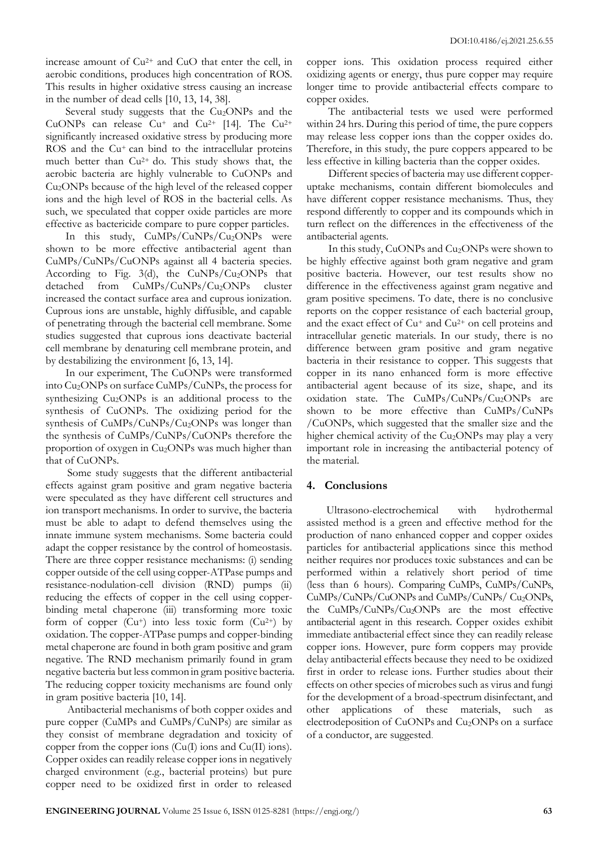increase amount of Cu2+ and CuO that enter the cell, in aerobic conditions, produces high concentration of ROS. This results in higher oxidative stress causing an increase in the number of dead cells [10, 13, 14, 38].

Several study suggests that the Cu<sub>2</sub>ONPs and the CuONPs can release  $Cu^+$  and  $Cu^{2+}$  [14]. The  $Cu^{2+}$ significantly increased oxidative stress by producing more ROS and the Cu<sup>+</sup> can bind to the intracellular proteins much better than Cu2+ do. This study shows that, the aerobic bacteria are highly vulnerable to CuONPs and Cu2ONPs because of the high level of the released copper ions and the high level of ROS in the bacterial cells. As such, we speculated that copper oxide particles are more effective as bactericide compare to pure copper particles.

In this study, CuMPs/CuNPs/Cu2ONPs were shown to be more effective antibacterial agent than CuMPs/CuNPs/CuONPs against all 4 bacteria species. According to Fig.  $3(d)$ , the CuNPs/Cu<sub>2</sub>ONPs that detached from CuMPs/CuNPs/Cu2ONPs cluster increased the contact surface area and cuprous ionization. Cuprous ions are unstable, highly diffusible, and capable of penetrating through the bacterial cell membrane. Some studies suggested that cuprous ions deactivate bacterial cell membrane by denaturing cell membrane protein, and by destabilizing the environment [6, 13, 14].

In our experiment, The CuONPs were transformed into Cu2ONPs on surface CuMPs/CuNPs, the process for synthesizing Cu2ONPs is an additional process to the synthesis of CuONPs. The oxidizing period for the synthesis of CuMPs/CuNPs/Cu2ONPs was longer than the synthesis of CuMPs/CuNPs/CuONPs therefore the proportion of oxygen in Cu<sub>2</sub>ONPs was much higher than that of CuONPs.

Some study suggests that the different antibacterial effects against gram positive and gram negative bacteria were speculated as they have different cell structures and ion transport mechanisms. In order to survive, the bacteria must be able to adapt to defend themselves using the innate immune system mechanisms. Some bacteria could adapt the copper resistance by the control of homeostasis. There are three copper resistance mechanisms: (i) sending copper outside of the cell using copper-ATPase pumps and resistance-nodulation-cell division (RND) pumps (ii) reducing the effects of copper in the cell using copperbinding metal chaperone (iii) transforming more toxic form of copper  $(Cu^+)$  into less toxic form  $(Cu^{2+})$  by oxidation. The copper-ATPase pumps and copper-binding metal chaperone are found in both gram positive and gram negative. The RND mechanism primarily found in gram negative bacteria but less common in gram positive bacteria. The reducing copper toxicity mechanisms are found only in gram positive bacteria [10, 14].

Antibacterial mechanisms of both copper oxides and pure copper (CuMPs and CuMPs/CuNPs) are similar as they consist of membrane degradation and toxicity of copper from the copper ions (Cu(I) ions and Cu(II) ions). Copper oxides can readily release copper ions in negatively charged environment (e.g., bacterial proteins) but pure copper need to be oxidized first in order to released

copper ions. This oxidation process required either oxidizing agents or energy, thus pure copper may require longer time to provide antibacterial effects compare to copper oxides.

The antibacterial tests we used were performed within 24 hrs. During this period of time, the pure coppers may release less copper ions than the copper oxides do. Therefore, in this study, the pure coppers appeared to be less effective in killing bacteria than the copper oxides.

Different species of bacteria may use different copperuptake mechanisms, contain different biomolecules and have different copper resistance mechanisms. Thus, they respond differently to copper and its compounds which in turn reflect on the differences in the effectiveness of the antibacterial agents.

In this study, CuONPs and Cu<sub>2</sub>ONPs were shown to be highly effective against both gram negative and gram positive bacteria. However, our test results show no difference in the effectiveness against gram negative and gram positive specimens. To date, there is no conclusive reports on the copper resistance of each bacterial group, and the exact effect of Cu<sup>+</sup> and Cu<sup>2+</sup> on cell proteins and intracellular genetic materials. In our study, there is no difference between gram positive and gram negative bacteria in their resistance to copper. This suggests that copper in its nano enhanced form is more effective antibacterial agent because of its size, shape, and its oxidation state. The CuMPs/CuNPs/Cu2ONPs are shown to be more effective than CuMPs/CuNPs /CuONPs, which suggested that the smaller size and the higher chemical activity of the  $Cu<sub>2</sub>ONPs$  may play a very important role in increasing the antibacterial potency of the material.

#### **4. Conclusions**

Ultrasono-electrochemical with hydrothermal assisted method is a green and effective method for the production of nano enhanced copper and copper oxides particles for antibacterial applications since this method neither requires nor produces toxic substances and can be performed within a relatively short period of time (less than 6 hours). Comparing CuMPs, CuMPs/CuNPs, CuMPs/CuNPs/CuONPs and CuMPs/CuNPs/ Cu2ONPs, the CuMPs/CuNPs/Cu2ONPs are the most effective antibacterial agent in this research. Copper oxides exhibit immediate antibacterial effect since they can readily release copper ions. However, pure form coppers may provide delay antibacterial effects because they need to be oxidized first in order to release ions. Further studies about their effects on other species of microbes such as virus and fungi for the development of a broad-spectrum disinfectant, and other applications of these materials, such as electrodeposition of CuONPs and Cu<sub>2</sub>ONPs on a surface of a conductor, are suggested.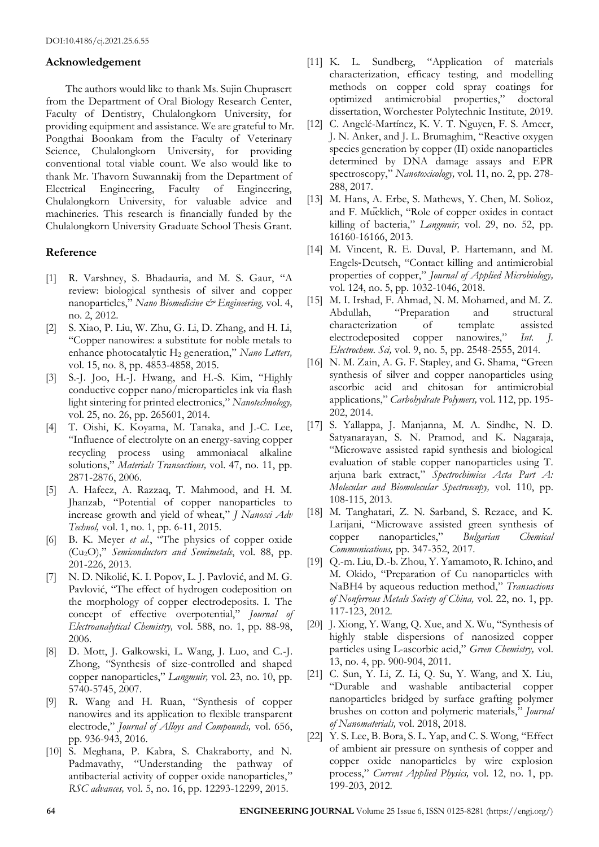# **Acknowledgement**

The authors would like to thank Ms. Sujin Chuprasert from the Department of Oral Biology Research Center, Faculty of Dentistry, Chulalongkorn University, for providing equipment and assistance. We are grateful to Mr. Pongthai Boonkam from the Faculty of Veterinary Science, Chulalongkorn University, for providing conventional total viable count. We also would like to thank Mr. Thavorn Suwannakij from the Department of Electrical Engineering, Faculty of Engineering, Chulalongkorn University, for valuable advice and machineries. This research is financially funded by the Chulalongkorn University Graduate School Thesis Grant.

# **Reference**

- [1] R. Varshney, S. Bhadauria, and M. S. Gaur, "A review: biological synthesis of silver and copper nanoparticles," *Nano Biomedicine & Engineering,* vol. 4, no. 2, 2012.
- [2] S. Xiao, P. Liu, W. Zhu, G. Li, D. Zhang, and H. Li, "Copper nanowires: a substitute for noble metals to enhance photocatalytic H<sub>2</sub> generation," *Nano Letters*, vol. 15, no. 8, pp. 4853-4858, 2015.
- [3] S.-J. Joo, H.-J. Hwang, and H.-S. Kim, "Highly conductive copper nano/microparticles ink via flash light sintering for printed electronics," *Nanotechnology,*  vol. 25, no. 26, pp. 265601, 2014.
- [4] T. Oishi, K. Koyama, M. Tanaka, and J.-C. Lee, "Influence of electrolyte on an energy-saving copper recycling process using ammoniacal alkaline solutions," *Materials Transactions,* vol. 47, no. 11, pp. 2871-2876, 2006.
- [5] A. Hafeez, A. Razzaq, T. Mahmood, and H. M. Jhanzab, "Potential of copper nanoparticles to increase growth and yield of wheat," *J Nanosci Adv Technol,* vol. 1, no. 1, pp. 6-11, 2015.
- [6] B. K. Meyer *et al.*, "The physics of copper oxide (Cu2O)," *Semiconductors and Semimetals*, vol. 88, pp. 201-226, 2013.
- [7] N. D. Nikolić, K. I. Popov, L. J. Pavlović, and M. G. Pavlović, "The effect of hydrogen codeposition on the morphology of copper electrodeposits. I. The concept of effective overpotential," *Journal of Electroanalytical Chemistry,* vol. 588, no. 1, pp. 88-98, 2006.
- [8] D. Mott, J. Galkowski, L. Wang, J. Luo, and C.-J. Zhong, "Synthesis of size-controlled and shaped copper nanoparticles," *Langmuir,* vol. 23, no. 10, pp. 5740-5745, 2007.
- [9] R. Wang and H. Ruan, "Synthesis of copper nanowires and its application to flexible transparent electrode," *Journal of Alloys and Compounds,* vol. 656, pp. 936-943, 2016.
- [10] S. Meghana, P. Kabra, S. Chakraborty, and N. Padmavathy, "Understanding the pathway of antibacterial activity of copper oxide nanoparticles," *RSC advances,* vol. 5, no. 16, pp. 12293-12299, 2015.
- [11] K. L. Sundberg, "Application of materials characterization, efficacy testing, and modelling methods on copper cold spray coatings for optimized antimicrobial properties," doctoral dissertation, Worchester Polytechnic Institute, 2019.
- [12] C. Angelé-Martínez, K. V. T. Nguyen, F. S. Ameer, J. N. Anker, and J. L. Brumaghim, "Reactive oxygen species generation by copper (II) oxide nanoparticles determined by DNA damage assays and EPR spectroscopy," *Nanotoxicology,* vol. 11, no. 2, pp. 278- 288, 2017.
- [13] M. Hans, A. Erbe, S. Mathews, Y. Chen, M. Solioz, and F. Mucklich, "Role of copper oxides in contact killing of bacteria," *Langmuir,* vol. 29, no. 52, pp. 16160-16166, 2013.
- [14] M. Vincent, R. E. Duval, P. Hartemann, and M. Engels‐Deutsch, "Contact killing and antimicrobial properties of copper," *Journal of Applied Microbiology,*  vol. 124, no. 5, pp. 1032-1046, 2018.
- [15] M. I. Irshad, F. Ahmad, N. M. Mohamed, and M. Z. Abdullah, "Preparation and structural characterization of template assisted electrodeposited copper nanowires," *Int. J. Electrochem. Sci,* vol. 9, no. 5, pp. 2548-2555, 2014.
- [16] N. M. Zain, A. G. F. Stapley, and G. Shama, "Green synthesis of silver and copper nanoparticles using ascorbic acid and chitosan for antimicrobial applications," *Carbohydrate Polymers,* vol. 112, pp. 195- 202, 2014.
- [17] S. Yallappa, J. Manjanna, M. A. Sindhe, N. D. Satyanarayan, S. N. Pramod, and K. Nagaraja, "Microwave assisted rapid synthesis and biological evaluation of stable copper nanoparticles using T. arjuna bark extract," *Spectrochimica Acta Part A: Molecular and Biomolecular Spectroscopy,* vol. 110, pp. 108-115, 2013.
- [18] M. Tanghatari, Z. N. Sarband, S. Rezaee, and K. Larijani, "Microwave assisted green synthesis of copper nanoparticles," *Bulgarian Chemical Communications,* pp. 347-352, 2017.
- [19] Q.-m. Liu, D.-b. Zhou, Y. Yamamoto, R. Ichino, and M. Okido, "Preparation of Cu nanoparticles with NaBH4 by aqueous reduction method," *Transactions of Nonferrous Metals Society of China,* vol. 22, no. 1, pp. 117-123, 2012.
- [20] J. Xiong, Y. Wang, Q. Xue, and X. Wu, "Synthesis of highly stable dispersions of nanosized copper particles using L-ascorbic acid," *Green Chemistry,* vol. 13, no. 4, pp. 900-904, 2011.
- [21] C. Sun, Y. Li, Z. Li, Q. Su, Y. Wang, and X. Liu, "Durable and washable antibacterial copper nanoparticles bridged by surface grafting polymer brushes on cotton and polymeric materials," *Journal of Nanomaterials,* vol. 2018, 2018.
- [22] Y. S. Lee, B. Bora, S. L. Yap, and C. S. Wong, "Effect" of ambient air pressure on synthesis of copper and copper oxide nanoparticles by wire explosion process," *Current Applied Physics,* vol. 12, no. 1, pp. 199-203, 2012.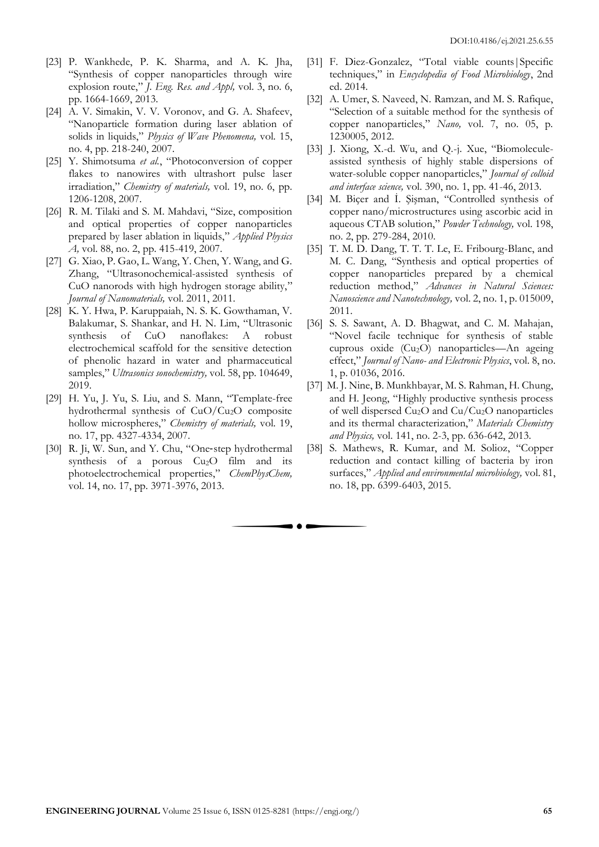- [23] P. Wankhede, P. K. Sharma, and A. K. Jha, "Synthesis of copper nanoparticles through wire explosion route," *J. Eng. Res. and Appl,* vol. 3, no. 6, pp. 1664-1669, 2013.
- [24] A. V. Simakin, V. V. Voronov, and G. A. Shafeev, "Nanoparticle formation during laser ablation of solids in liquids," *Physics of Wave Phenomena,* vol. 15, no. 4, pp. 218-240, 2007.
- [25] Y. Shimotsuma *et al.*, "Photoconversion of copper flakes to nanowires with ultrashort pulse laser irradiation," *Chemistry of materials,* vol. 19, no. 6, pp. 1206-1208, 2007.
- [26] R. M. Tilaki and S. M. Mahdavi, "Size, composition and optical properties of copper nanoparticles prepared by laser ablation in liquids," *Applied Physics A,* vol. 88, no. 2, pp. 415-419, 2007.
- [27] G. Xiao, P. Gao, L. Wang, Y. Chen, Y. Wang, and G. Zhang, "Ultrasonochemical-assisted synthesis of CuO nanorods with high hydrogen storage ability," *Journal of Nanomaterials,* vol. 2011, 2011.
- [28] K. Y. Hwa, P. Karuppaiah, N. S. K. Gowthaman, V. Balakumar, S. Shankar, and H. N. Lim, "Ultrasonic synthesis of CuO nanoflakes: A robust electrochemical scaffold for the sensitive detection of phenolic hazard in water and pharmaceutical samples," *Ultrasonics sonochemistry,* vol. 58, pp. 104649, 2019.
- [29] H. Yu, J. Yu, S. Liu, and S. Mann, "Template-free hydrothermal synthesis of CuO/Cu2O composite hollow microspheres," *Chemistry of materials,* vol. 19, no. 17, pp. 4327-4334, 2007.
- [30] R. Ji, W. Sun, and Y. Chu, "One-step hydrothermal synthesis of a porous Cu<sub>2</sub>O film and its photoelectrochemical properties," *ChemPhysChem,*  vol. 14, no. 17, pp. 3971-3976, 2013.
- [31] F. Diez-Gonzalez, "Total viable counts|Specific techniques," in *Encyclopedia of Food Microbiology*, 2nd ed. 2014.
- [32] A. Umer, S. Naveed, N. Ramzan, and M. S. Rafique, "Selection of a suitable method for the synthesis of copper nanoparticles," *Nano,* vol. 7, no. 05, p. 1230005, 2012.
- [33] J. Xiong, X.-d. Wu, and Q.-j. Xue, "Biomoleculeassisted synthesis of highly stable dispersions of water-soluble copper nanoparticles," *Journal of colloid and interface science,* vol. 390, no. 1, pp. 41-46, 2013.
- [34] M. Biçer and İ. Şişman, "Controlled synthesis of copper nano/microstructures using ascorbic acid in aqueous CTAB solution," *Powder Technology,* vol. 198, no. 2, pp. 279-284, 2010.
- [35] T. M. D. Dang, T. T. T. Le, E. Fribourg-Blanc, and M. C. Dang, "Synthesis and optical properties of copper nanoparticles prepared by a chemical reduction method," *Advances in Natural Sciences: Nanoscience and Nanotechnology,* vol. 2, no. 1, p. 015009, 2011.
- [36] S. S. Sawant, A. D. Bhagwat, and C. M. Mahajan, "Novel facile technique for synthesis of stable cuprous oxide (Cu2O) nanoparticles—An ageing effect," *Journal of Nano- and Electronic Physics*, vol. 8, no. 1, p. 01036, 2016.
- [37] M. J. Nine, B. Munkhbayar, M. S. Rahman, H. Chung, and H. Jeong, "Highly productive synthesis process of well dispersed Cu2O and Cu/Cu2O nanoparticles and its thermal characterization," *Materials Chemistry and Physics,* vol. 141, no. 2-3, pp. 636-642, 2013.
- [38] S. Mathews, R. Kumar, and M. Solioz, "Copper reduction and contact killing of bacteria by iron surfaces," *Applied and environmental microbiology,* vol. 81, no. 18, pp. 6399-6403, 2015.